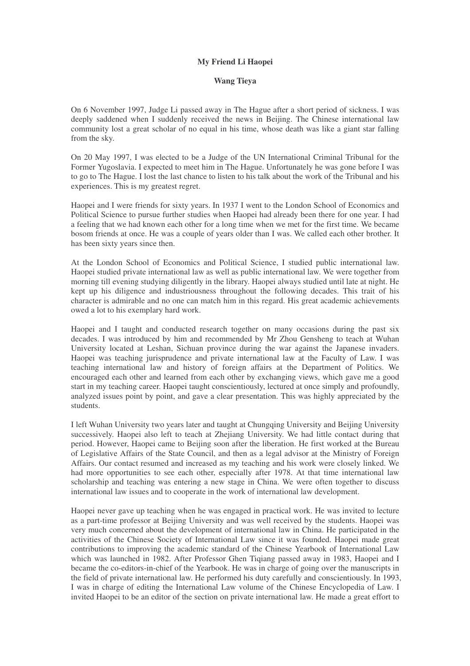## **My Friend Li Haopei**

## **Wang Tieya**

On 6 November 1997, Judge Li passed away in The Hague after a short period of sickness. I was deeply saddened when I suddenly received the news in Beijing. The Chinese international law community lost a great scholar of no equal in his time, whose death was like a giant star falling from the sky.

On 20 May 1997, I was elected to be a Judge of the UN International Criminal Tribunal for the Former Yugoslavia. I expected to meet him in The Hague. Unfortunately he was gone before I was to go to The Hague. I lost the last chance to listen to his talk about the work of the Tribunal and his experiences. This is my greatest regret.

Haopei and I were friends for sixty years. In 1937 I went to the London School of Economics and Political Science to pursue further studies when Haopei had already been there for one year. I had a feeling that we had known each other for a long time when we met for the first time. We became bosom friends at once. He was a couple of years older than I was. We called each other brother. It has been sixty years since then.

At the London School of Economics and Political Science, I studied public international law. Haopei studied private international law as well as public international law. We were together from morning till evening studying diligently in the library. Haopei always studied until late at night. He kept up his diligence and industriousness throughout the following decades. This trait of his character is admirable and no one can match him in this regard. His great academic achievements owed a lot to his exemplary hard work.

Haopei and I taught and conducted research together on many occasions during the past six decades. I was introduced by him and recommended by Mr Zhou Gensheng to teach at Wuhan University located at Leshan, Sichuan province during the war against the Japanese invaders. Haopei was teaching jurisprudence and private international law at the Faculty of Law. I was teaching international law and history of foreign affairs at the Department of Politics. We encouraged each other and learned from each other by exchanging views, which gave me a good start in my teaching career. Haopei taught conscientiously, lectured at once simply and profoundly, analyzed issues point by point, and gave a clear presentation. This was highly appreciated by the students.

I left Wuhan University two years later and taught at Chungqing University and Beijing University successively. Haopei also left to teach at Zhejiang University. We had little contact during that period. However, Haopei came to Beijing soon after the liberation. He first worked at the Bureau of Legislative Affairs of the State Council, and then as a legal advisor at the Ministry of Foreign Affairs. Our contact resumed and increased as my teaching and his work were closely linked. We had more opportunities to see each other, especially after 1978. At that time international law scholarship and teaching was entering a new stage in China. We were often together to discuss international law issues and to cooperate in the work of international law development.

Haopei never gave up teaching when he was engaged in practical work. He was invited to lecture as a part-time professor at Beijing University and was well received by the students. Haopei was very much concerned about the development of international law in China. He participated in the activities of the Chinese Society of International Law since it was founded. Haopei made great contributions to improving the academic standard of the Chinese Yearbook of International Law which was launched in 1982. After Professor Ghen Tigiang passed away in 1983, Haopei and I became the co-editors-in-chief of the Yearbook. He was in charge of going over the manuscripts in the field of private international law. He performed his duty carefully and conscientiously. In 1993, I was in charge of editing the International Law volume of the Chinese Encyclopedia of Law. I invited Haopei to be an editor of the section on private international law. He made a great effort to